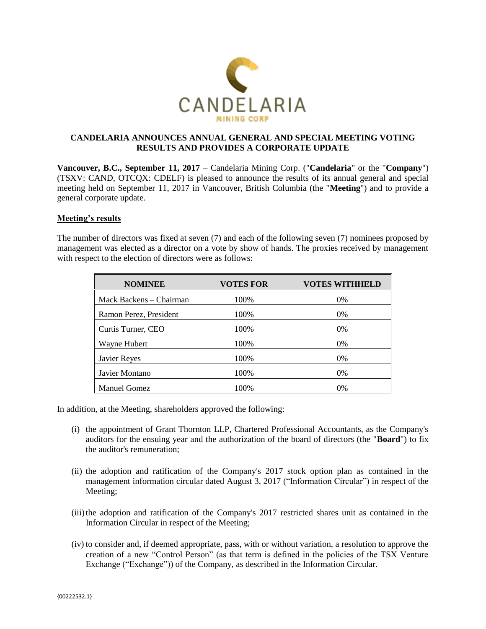

# **CANDELARIA ANNOUNCES ANNUAL GENERAL AND SPECIAL MEETING VOTING RESULTS AND PROVIDES A CORPORATE UPDATE**

**Vancouver, B.C., September 11, 2017** – Candelaria Mining Corp. ("**Candelaria**" or the "**Company**") (TSXV: CAND, OTCQX: CDELF) is pleased to announce the results of its annual general and special meeting held on September 11, 2017 in Vancouver, British Columbia (the "**Meeting**") and to provide a general corporate update.

#### **Meeting's results**

The number of directors was fixed at seven (7) and each of the following seven (7) nominees proposed by management was elected as a director on a vote by show of hands. The proxies received by management with respect to the election of directors were as follows:

| <b>NOMINEE</b>          | <b>VOTES FOR</b> | <b>VOTES WITHHELD</b> |
|-------------------------|------------------|-----------------------|
| Mack Backens - Chairman | 100%             | $0\%$                 |
| Ramon Perez, President  | 100%             | $0\%$                 |
| Curtis Turner, CEO      | 100%             | $0\%$                 |
| Wayne Hubert            | 100%             | $0\%$                 |
| Javier Reyes            | 100%             | $0\%$                 |
| Javier Montano          | 100%             | $0\%$                 |
| <b>Manuel Gomez</b>     | 100%             | 0%                    |

In addition, at the Meeting, shareholders approved the following:

- (i) the appointment of Grant Thornton LLP, Chartered Professional Accountants, as the Company's auditors for the ensuing year and the authorization of the board of directors (the "**Board**") to fix the auditor's remuneration;
- (ii) the adoption and ratification of the Company's 2017 stock option plan as contained in the management information circular dated August 3, 2017 ("Information Circular") in respect of the Meeting:
- (iii)the adoption and ratification of the Company's 2017 restricted shares unit as contained in the Information Circular in respect of the Meeting;
- (iv) to consider and, if deemed appropriate, pass, with or without variation, a resolution to approve the creation of a new "Control Person" (as that term is defined in the policies of the TSX Venture Exchange ("Exchange")) of the Company, as described in the Information Circular.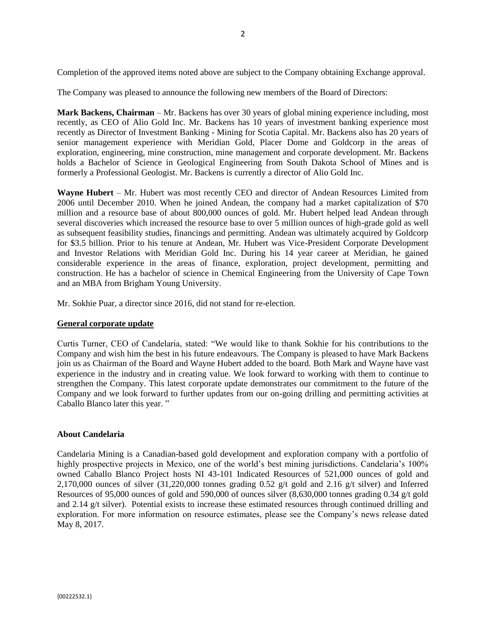Completion of the approved items noted above are subject to the Company obtaining Exchange approval.

The Company was pleased to announce the following new members of the Board of Directors:

**Mark Backens, Chairman** – Mr. Backens has over 30 years of global mining experience including, most recently, as CEO of Alio Gold Inc. Mr. Backens has 10 years of investment banking experience most recently as Director of Investment Banking - Mining for Scotia Capital. Mr. Backens also has 20 years of senior management experience with Meridian Gold, Placer Dome and Goldcorp in the areas of exploration, engineering, mine construction, mine management and corporate development. Mr. Backens holds a Bachelor of Science in Geological Engineering from South Dakota School of Mines and is formerly a Professional Geologist. Mr. Backens is currently a director of Alio Gold Inc.

**Wayne Hubert** – Mr. Hubert was most recently CEO and director of Andean Resources Limited from 2006 until December 2010. When he joined Andean, the company had a market capitalization of \$70 million and a resource base of about 800,000 ounces of gold. Mr. Hubert helped lead Andean through several discoveries which increased the resource base to over 5 million ounces of high-grade gold as well as subsequent feasibility studies, financings and permitting. Andean was ultimately acquired by Goldcorp for \$3.5 billion. Prior to his tenure at Andean, Mr. Hubert was Vice-President Corporate Development and Investor Relations with Meridian Gold Inc. During his 14 year career at Meridian, he gained considerable experience in the areas of finance, exploration, project development, permitting and construction. He has a bachelor of science in Chemical Engineering from the University of Cape Town and an MBA from Brigham Young University.

Mr. Sokhie Puar, a director since 2016, did not stand for re-election.

## **General corporate update**

Curtis Turner, CEO of Candelaria, stated: "We would like to thank Sokhie for his contributions to the Company and wish him the best in his future endeavours. The Company is pleased to have Mark Backens join us as Chairman of the Board and Wayne Hubert added to the board. Both Mark and Wayne have vast experience in the industry and in creating value. We look forward to working with them to continue to strengthen the Company. This latest corporate update demonstrates our commitment to the future of the Company and we look forward to further updates from our on-going drilling and permitting activities at Caballo Blanco later this year. "

## **About Candelaria**

Candelaria Mining is a Canadian-based gold development and exploration company with a portfolio of highly prospective projects in Mexico, one of the world's best mining jurisdictions. Candelaria's 100% owned Caballo Blanco Project hosts NI 43-101 Indicated Resources of 521,000 ounces of gold and 2,170,000 ounces of silver  $(31,220,000)$  tonnes grading 0.52 g/t gold and 2.16 g/t silver) and Inferred Resources of 95,000 ounces of gold and 590,000 of ounces silver (8,630,000 tonnes grading 0.34 g/t gold and 2.14 g/t silver). Potential exists to increase these estimated resources through continued drilling and exploration. For more information on resource estimates, please see the Company's news release dated May 8, 2017.